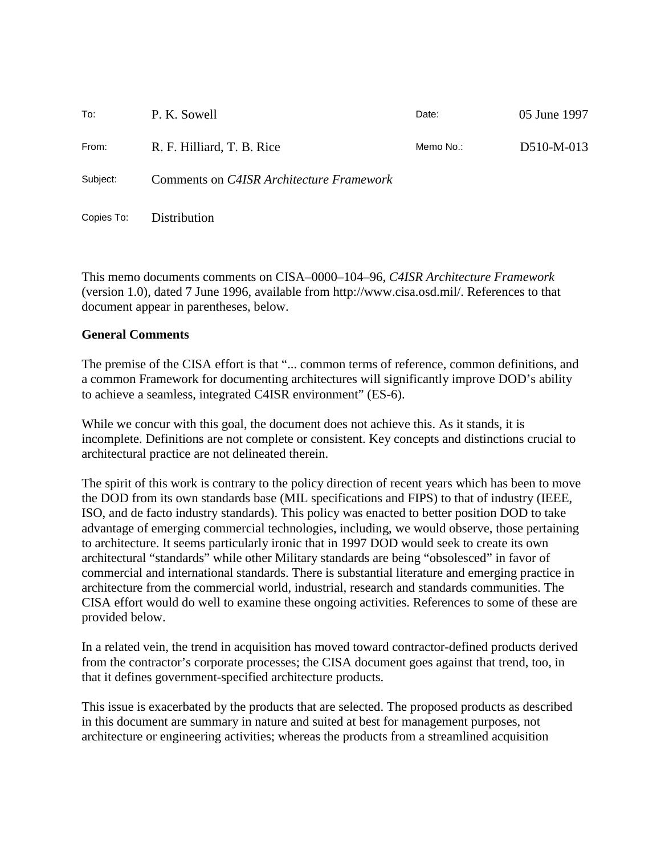| To:        | P. K. Sowell                             | Date:     | 05 June 1997 |
|------------|------------------------------------------|-----------|--------------|
| From:      | R. F. Hilliard, T. B. Rice               | Memo No.: | D510-M-013   |
| Subject:   | Comments on C4ISR Architecture Framework |           |              |
| Copies To: | Distribution                             |           |              |

This memo documents comments on CISA–0000–104–96, *C4ISR Architecture Framework* (version 1.0), dated 7 June 1996, available from http://www.cisa.osd.mil/. References to that document appear in parentheses, below.

#### **General Comments**

The premise of the CISA effort is that "... common terms of reference, common definitions, and a common Framework for documenting architectures will significantly improve DOD's ability to achieve a seamless, integrated C4ISR environment" (ES-6).

While we concur with this goal, the document does not achieve this. As it stands, it is incomplete. Definitions are not complete or consistent. Key concepts and distinctions crucial to architectural practice are not delineated therein.

The spirit of this work is contrary to the policy direction of recent years which has been to move the DOD from its own standards base (MIL specifications and FIPS) to that of industry (IEEE, ISO, and de facto industry standards). This policy was enacted to better position DOD to take advantage of emerging commercial technologies, including, we would observe, those pertaining to architecture. It seems particularly ironic that in 1997 DOD would seek to create its own architectural "standards" while other Military standards are being "obsolesced" in favor of commercial and international standards. There is substantial literature and emerging practice in architecture from the commercial world, industrial, research and standards communities. The CISA effort would do well to examine these ongoing activities. References to some of these are provided below.

In a related vein, the trend in acquisition has moved toward contractor-defined products derived from the contractor's corporate processes; the CISA document goes against that trend, too, in that it defines government-specified architecture products.

This issue is exacerbated by the products that are selected. The proposed products as described in this document are summary in nature and suited at best for management purposes, not architecture or engineering activities; whereas the products from a streamlined acquisition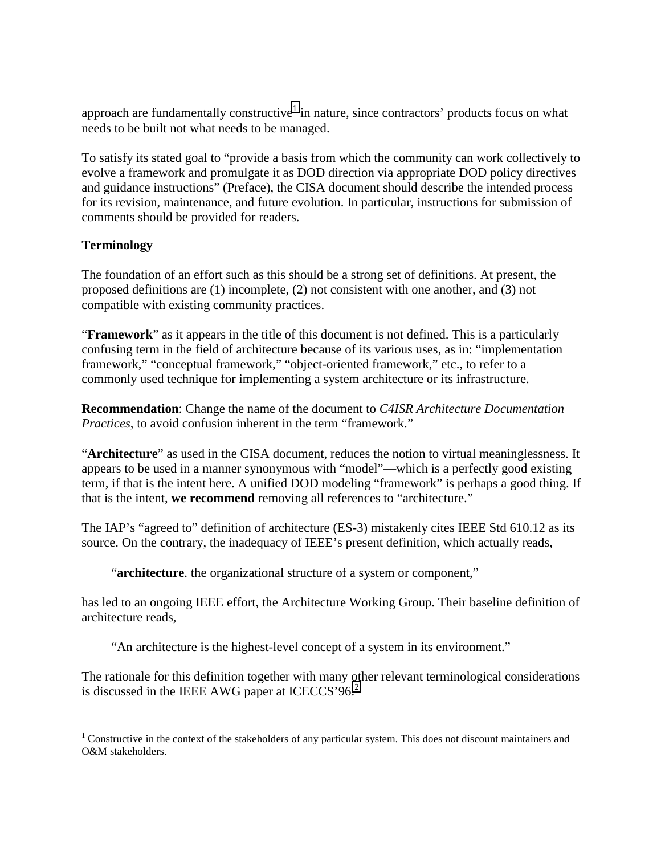approach are fundamentally constructive<sup>1</sup> in nature, since contractors' products focus on what needs to be built not what needs to be managed.

To satisfy its stated goal to "provide a basis from which the community can work collectively to evolve a framework and promulgate it as DOD direction via appropriate DOD policy directives and guidance instructions" (Preface), the CISA document should describe the intended process for its revision, maintenance, and future evolution. In particular, instructions for submission of comments should be provided for readers.

### **Terminology**

<u>.</u>

The foundation of an effort such as this should be a strong set of definitions. At present, the proposed definitions are (1) incomplete, (2) not consistent with one another, and (3) not compatible with existing community practices.

"**Framework**" as it appears in the title of this document is not defined. This is a particularly confusing term in the field of architecture because of its various uses, as in: "implementation framework," "conceptual framework," "object-oriented framework," etc., to refer to a commonly used technique for implementing a system architecture or its infrastructure.

**Recommendation**: Change the name of the document to *C4ISR Architecture Documentation Practices*, to avoid confusion inherent in the term "framework."

"**Architecture**" as used in the CISA document, reduces the notion to virtual meaninglessness. It appears to be used in a manner synonymous with "model"—which is a perfectly good existing term, if that is the intent here. A unified DOD modeling "framework" is perhaps a good thing. If that is the intent, **we recommend** removing all references to "architecture."

The IAP's "agreed to" definition of architecture (ES-3) mistakenly cites IEEE Std 610.12 as its source. On the contrary, the inadequacy of IEEE's present definition, which actually reads,

"**architecture**. the organizational structure of a system or component,"

has led to an ongoing IEEE effort, the Architecture Working Group. Their baseline definition of architecture reads,

"An architecture is the highest-level concept of a system in its environment."

The rationale for this definition together with many other relevant terminological considerations is discussed in the IEEE AWG paper at ICECCS'96. $^{2}$ 

 $1$  Constructive in the context of the stakeholders of any particular system. This does not discount maintainers and O&M stakeholders.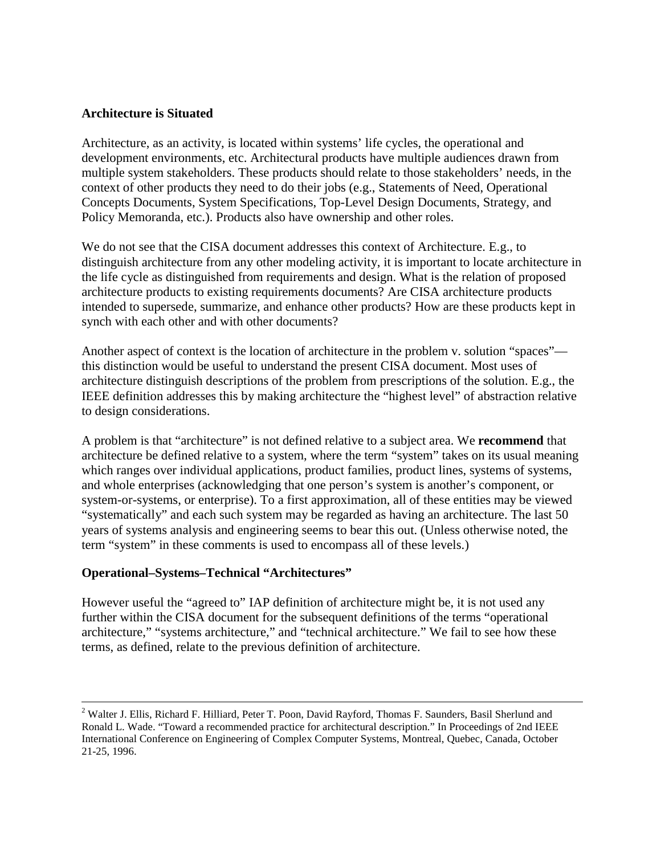#### **Architecture is Situated**

Architecture, as an activity, is located within systems' life cycles, the operational and development environments, etc. Architectural products have multiple audiences drawn from multiple system stakeholders. These products should relate to those stakeholders' needs, in the context of other products they need to do their jobs (e.g., Statements of Need, Operational Concepts Documents, System Specifications, Top-Level Design Documents, Strategy, and Policy Memoranda, etc.). Products also have ownership and other roles.

We do not see that the CISA document addresses this context of Architecture. E.g., to distinguish architecture from any other modeling activity, it is important to locate architecture in the life cycle as distinguished from requirements and design. What is the relation of proposed architecture products to existing requirements documents? Are CISA architecture products intended to supersede, summarize, and enhance other products? How are these products kept in synch with each other and with other documents?

Another aspect of context is the location of architecture in the problem v. solution "spaces" this distinction would be useful to understand the present CISA document. Most uses of architecture distinguish descriptions of the problem from prescriptions of the solution. E.g., the IEEE definition addresses this by making architecture the "highest level" of abstraction relative to design considerations.

A problem is that "architecture" is not defined relative to a subject area. We **recommend** that architecture be defined relative to a system, where the term "system" takes on its usual meaning which ranges over individual applications, product families, product lines, systems of systems, and whole enterprises (acknowledging that one person's system is another's component, or system-or-systems, or enterprise). To a first approximation, all of these entities may be viewed "systematically" and each such system may be regarded as having an architecture. The last 50 years of systems analysis and engineering seems to bear this out. (Unless otherwise noted, the term "system" in these comments is used to encompass all of these levels.)

### **Operational–Systems–Technical "Architectures"**

However useful the "agreed to" IAP definition of architecture might be, it is not used any further within the CISA document for the subsequent definitions of the terms "operational architecture," "systems architecture," and "technical architecture." We fail to see how these terms, as defined, relate to the previous definition of architecture.

 $\frac{1}{2}$ <sup>2</sup> Walter J. Ellis, Richard F. Hilliard, Peter T. Poon, David Rayford, Thomas F. Saunders, Basil Sherlund and Ronald L. Wade. "Toward a recommended practice for architectural description." In Proceedings of 2nd IEEE International Conference on Engineering of Complex Computer Systems, Montreal, Quebec, Canada, October 21-25, 1996.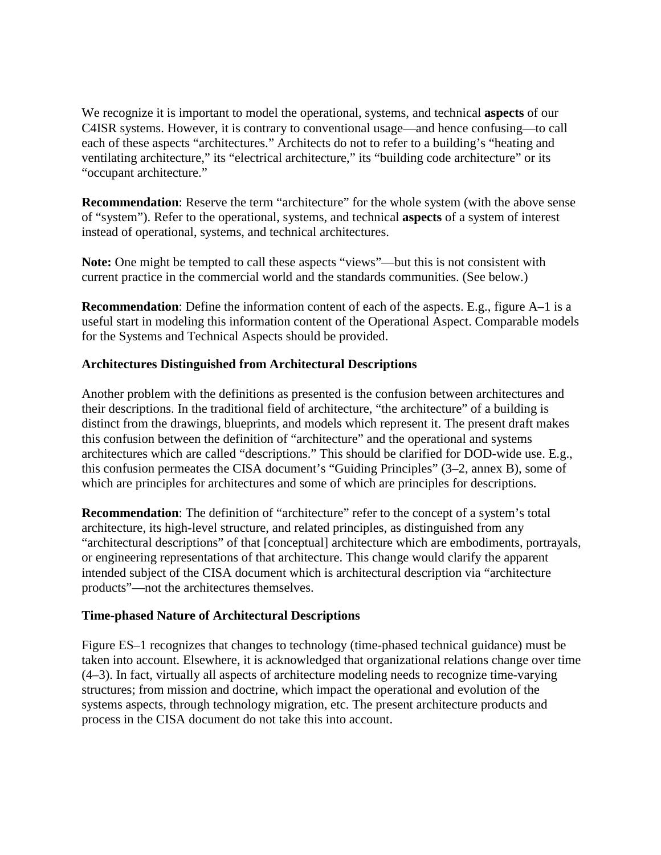We recognize it is important to model the operational, systems, and technical **aspects** of our C4ISR systems. However, it is contrary to conventional usage—and hence confusing—to call each of these aspects "architectures." Architects do not to refer to a building's "heating and ventilating architecture," its "electrical architecture," its "building code architecture" or its "occupant architecture."

**Recommendation**: Reserve the term "architecture" for the whole system (with the above sense of "system"). Refer to the operational, systems, and technical **aspects** of a system of interest instead of operational, systems, and technical architectures.

**Note:** One might be tempted to call these aspects "views"—but this is not consistent with current practice in the commercial world and the standards communities. (See below.)

**Recommendation**: Define the information content of each of the aspects. E.g., figure A–1 is a useful start in modeling this information content of the Operational Aspect. Comparable models for the Systems and Technical Aspects should be provided.

#### **Architectures Distinguished from Architectural Descriptions**

Another problem with the definitions as presented is the confusion between architectures and their descriptions. In the traditional field of architecture, "the architecture" of a building is distinct from the drawings, blueprints, and models which represent it. The present draft makes this confusion between the definition of "architecture" and the operational and systems architectures which are called "descriptions." This should be clarified for DOD-wide use. E.g., this confusion permeates the CISA document's "Guiding Principles" (3–2, annex B), some of which are principles for architectures and some of which are principles for descriptions.

**Recommendation**: The definition of "architecture" refer to the concept of a system's total architecture, its high-level structure, and related principles, as distinguished from any "architectural descriptions" of that [conceptual] architecture which are embodiments, portrayals, or engineering representations of that architecture. This change would clarify the apparent intended subject of the CISA document which is architectural description via "architecture products"—not the architectures themselves.

#### **Time-phased Nature of Architectural Descriptions**

Figure ES–1 recognizes that changes to technology (time-phased technical guidance) must be taken into account. Elsewhere, it is acknowledged that organizational relations change over time (4–3). In fact, virtually all aspects of architecture modeling needs to recognize time-varying structures; from mission and doctrine, which impact the operational and evolution of the systems aspects, through technology migration, etc. The present architecture products and process in the CISA document do not take this into account.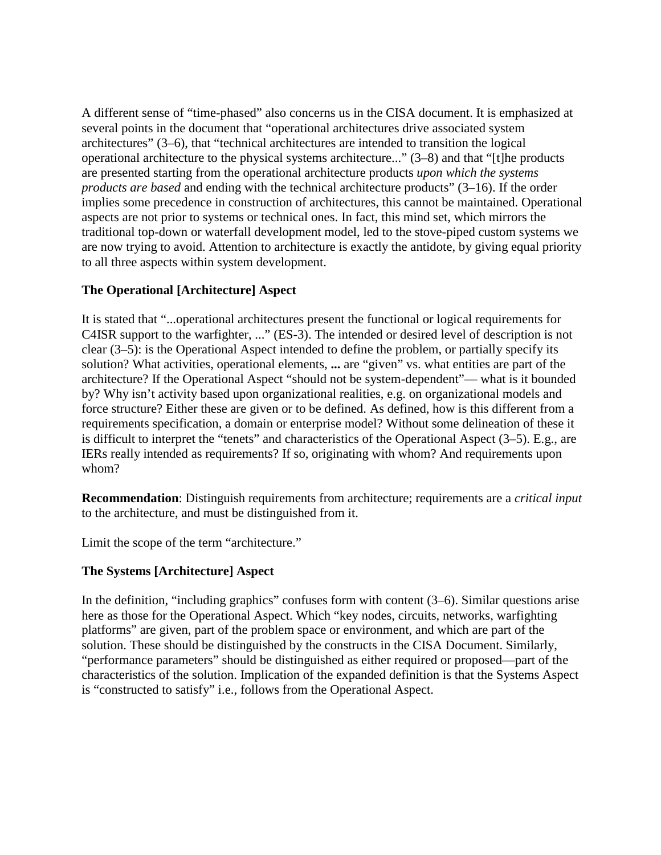A different sense of "time-phased" also concerns us in the CISA document. It is emphasized at several points in the document that "operational architectures drive associated system architectures" (3–6), that "technical architectures are intended to transition the logical operational architecture to the physical systems architecture..." (3–8) and that "[t]he products are presented starting from the operational architecture products *upon which the systems products are based* and ending with the technical architecture products" (3–16). If the order implies some precedence in construction of architectures, this cannot be maintained. Operational aspects are not prior to systems or technical ones. In fact, this mind set, which mirrors the traditional top-down or waterfall development model, led to the stove-piped custom systems we are now trying to avoid. Attention to architecture is exactly the antidote, by giving equal priority to all three aspects within system development.

### **The Operational [Architecture] Aspect**

It is stated that "...operational architectures present the functional or logical requirements for C4ISR support to the warfighter, ..." (ES-3). The intended or desired level of description is not clear (3–5): is the Operational Aspect intended to define the problem, or partially specify its solution? What activities, operational elements, **...** are "given" vs. what entities are part of the architecture? If the Operational Aspect "should not be system-dependent"— what is it bounded by? Why isn't activity based upon organizational realities, e.g. on organizational models and force structure? Either these are given or to be defined. As defined, how is this different from a requirements specification, a domain or enterprise model? Without some delineation of these it is difficult to interpret the "tenets" and characteristics of the Operational Aspect (3–5). E.g., are IERs really intended as requirements? If so, originating with whom? And requirements upon whom?

**Recommendation**: Distinguish requirements from architecture; requirements are a *critical input* to the architecture, and must be distinguished from it.

Limit the scope of the term "architecture."

# **The Systems [Architecture] Aspect**

In the definition, "including graphics" confuses form with content (3–6). Similar questions arise here as those for the Operational Aspect. Which "key nodes, circuits, networks, warfighting platforms" are given, part of the problem space or environment, and which are part of the solution. These should be distinguished by the constructs in the CISA Document. Similarly, "performance parameters" should be distinguished as either required or proposed—part of the characteristics of the solution. Implication of the expanded definition is that the Systems Aspect is "constructed to satisfy" i.e., follows from the Operational Aspect.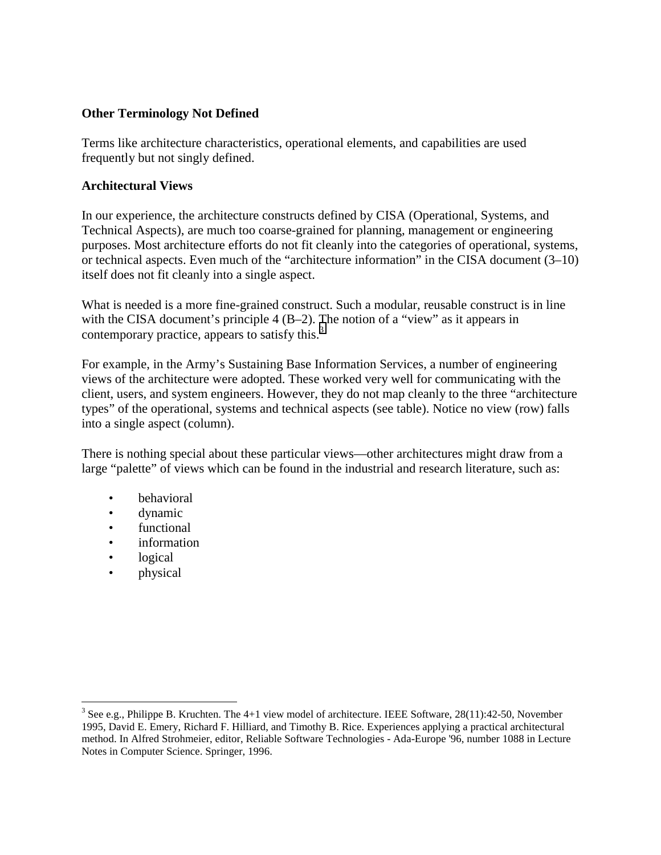#### **Other Terminology Not Defined**

Terms like architecture characteristics, operational elements, and capabilities are used frequently but not singly defined.

#### **Architectural Views**

In our experience, the architecture constructs defined by CISA (Operational, Systems, and Technical Aspects), are much too coarse-grained for planning, management or engineering purposes. Most architecture efforts do not fit cleanly into the categories of operational, systems, or technical aspects. Even much of the "architecture information" in the CISA document (3–10) itself does not fit cleanly into a single aspect.

What is needed is a more fine-grained construct. Such a modular, reusable construct is in line with the CISA document's principle 4 (B–2). The notion of a "view" as it appears in contemporary practice, appears to satisfy this. $3$ 

For example, in the Army's Sustaining Base Information Services, a number of engineering views of the architecture were adopted. These worked very well for communicating with the client, users, and system engineers. However, they do not map cleanly to the three "architecture types" of the operational, systems and technical aspects (see table). Notice no view (row) falls into a single aspect (column).

There is nothing special about these particular views—other architectures might draw from a large "palette" of views which can be found in the industrial and research literature, such as:

- behavioral
- dynamic
- functional
- information
- logical
- physical

<sup>&</sup>lt;sup>3</sup> See e.g., Philippe B. Kruchten. The 4+1 view model of architecture. IEEE Software, 28(11):42-50, November 1995, David E. Emery, Richard F. Hilliard, and Timothy B. Rice. Experiences applying a practical architectural method. In Alfred Strohmeier, editor, Reliable Software Technologies - Ada-Europe '96, number 1088 in Lecture Notes in Computer Science. Springer, 1996.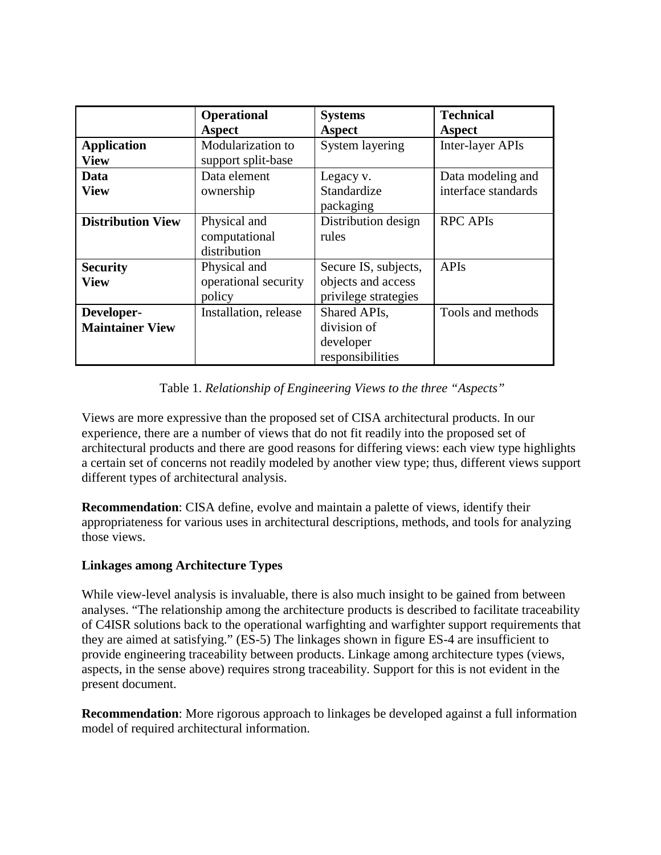|                          | <b>Operational</b>    | <b>Systems</b>       | <b>Technical</b>    |
|--------------------------|-----------------------|----------------------|---------------------|
|                          | <b>Aspect</b>         | <b>Aspect</b>        | Aspect              |
| <b>Application</b>       | Modularization to     | System layering      | Inter-layer APIs    |
| <b>View</b>              | support split-base    |                      |                     |
| Data                     | Data element          | Legacy v.            | Data modeling and   |
| <b>View</b>              | ownership             | Standardize          | interface standards |
|                          |                       | packaging            |                     |
| <b>Distribution View</b> | Physical and          | Distribution design  | <b>RPC APIS</b>     |
|                          | computational         | rules                |                     |
|                          | distribution          |                      |                     |
| <b>Security</b>          | Physical and          | Secure IS, subjects, | <b>APIs</b>         |
| <b>View</b>              | operational security  | objects and access   |                     |
|                          | policy                | privilege strategies |                     |
| Developer-               | Installation, release | Shared APIs,         | Tools and methods   |
| <b>Maintainer View</b>   |                       | division of          |                     |
|                          |                       | developer            |                     |
|                          |                       | responsibilities     |                     |

### Table 1. *Relationship of Engineering Views to the three "Aspects"*

Views are more expressive than the proposed set of CISA architectural products. In our experience, there are a number of views that do not fit readily into the proposed set of architectural products and there are good reasons for differing views: each view type highlights a certain set of concerns not readily modeled by another view type; thus, different views support different types of architectural analysis.

**Recommendation**: CISA define, evolve and maintain a palette of views, identify their appropriateness for various uses in architectural descriptions, methods, and tools for analyzing those views.

### **Linkages among Architecture Types**

While view-level analysis is invaluable, there is also much insight to be gained from between analyses. "The relationship among the architecture products is described to facilitate traceability of C4ISR solutions back to the operational warfighting and warfighter support requirements that they are aimed at satisfying." (ES-5) The linkages shown in figure ES-4 are insufficient to provide engineering traceability between products. Linkage among architecture types (views, aspects, in the sense above) requires strong traceability. Support for this is not evident in the present document.

**Recommendation**: More rigorous approach to linkages be developed against a full information model of required architectural information.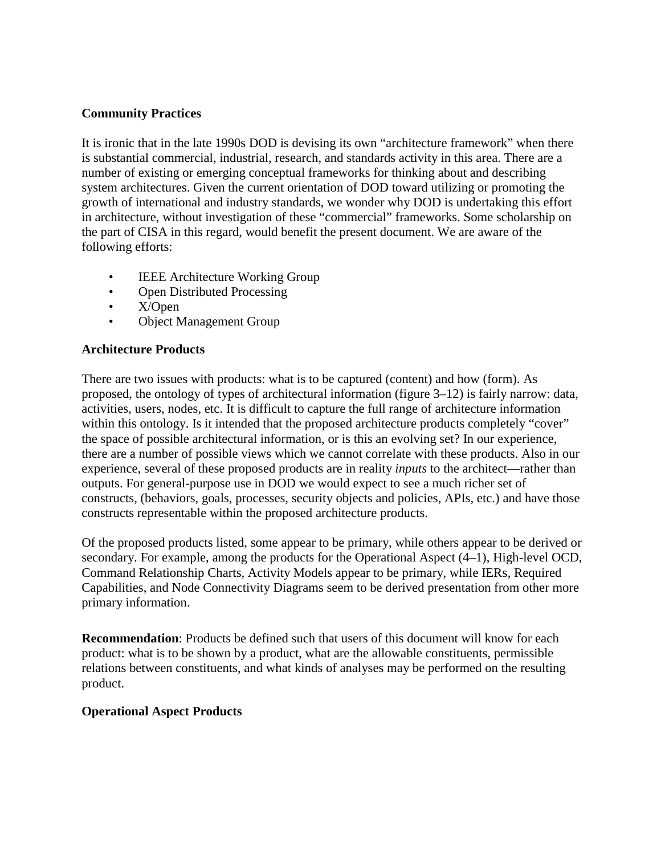#### **Community Practices**

It is ironic that in the late 1990s DOD is devising its own "architecture framework" when there is substantial commercial, industrial, research, and standards activity in this area. There are a number of existing or emerging conceptual frameworks for thinking about and describing system architectures. Given the current orientation of DOD toward utilizing or promoting the growth of international and industry standards, we wonder why DOD is undertaking this effort in architecture, without investigation of these "commercial" frameworks. Some scholarship on the part of CISA in this regard, would benefit the present document. We are aware of the following efforts:

- **IEEE Architecture Working Group**
- Open Distributed Processing
- X/Open
- Object Management Group

### **Architecture Products**

There are two issues with products: what is to be captured (content) and how (form). As proposed, the ontology of types of architectural information (figure 3–12) is fairly narrow: data, activities, users, nodes, etc. It is difficult to capture the full range of architecture information within this ontology. Is it intended that the proposed architecture products completely "cover" the space of possible architectural information, or is this an evolving set? In our experience, there are a number of possible views which we cannot correlate with these products. Also in our experience, several of these proposed products are in reality *inputs* to the architect—rather than outputs. For general-purpose use in DOD we would expect to see a much richer set of constructs, (behaviors, goals, processes, security objects and policies, APIs, etc.) and have those constructs representable within the proposed architecture products.

Of the proposed products listed, some appear to be primary, while others appear to be derived or secondary. For example, among the products for the Operational Aspect (4–1), High-level OCD, Command Relationship Charts, Activity Models appear to be primary, while IERs, Required Capabilities, and Node Connectivity Diagrams seem to be derived presentation from other more primary information.

**Recommendation**: Products be defined such that users of this document will know for each product: what is to be shown by a product, what are the allowable constituents, permissible relations between constituents, and what kinds of analyses may be performed on the resulting product.

### **Operational Aspect Products**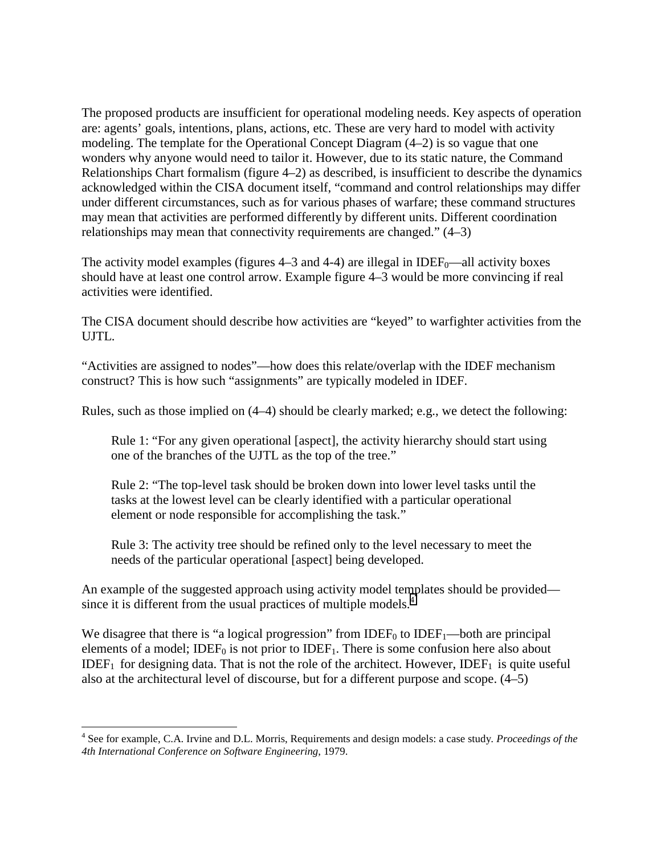The proposed products are insufficient for operational modeling needs. Key aspects of operation are: agents' goals, intentions, plans, actions, etc. These are very hard to model with activity modeling. The template for the Operational Concept Diagram (4–2) is so vague that one wonders why anyone would need to tailor it. However, due to its static nature, the Command Relationships Chart formalism (figure 4–2) as described, is insufficient to describe the dynamics acknowledged within the CISA document itself, "command and control relationships may differ under different circumstances, such as for various phases of warfare; these command structures may mean that activities are performed differently by different units. Different coordination relationships may mean that connectivity requirements are changed." (4–3)

The activity model examples (figures  $4-3$  and  $4-4$ ) are illegal in IDEF<sub>0</sub>—all activity boxes should have at least one control arrow. Example figure 4–3 would be more convincing if real activities were identified.

The CISA document should describe how activities are "keyed" to warfighter activities from the UJTL.

"Activities are assigned to nodes"—how does this relate/overlap with the IDEF mechanism construct? This is how such "assignments" are typically modeled in IDEF.

Rules, such as those implied on (4–4) should be clearly marked; e.g., we detect the following:

Rule 1: "For any given operational [aspect], the activity hierarchy should start using one of the branches of the UJTL as the top of the tree."

Rule 2: "The top-level task should be broken down into lower level tasks until the tasks at the lowest level can be clearly identified with a particular operational element or node responsible for accomplishing the task."

Rule 3: The activity tree should be refined only to the level necessary to meet the needs of the particular operational [aspect] being developed.

An example of the suggested approach using activity model templates should be provided since it is different from the usual practices of multiple models.<sup>4</sup>

We disagree that there is "a logical progression" from IDEF<sub>0</sub> to IDEF<sub>1</sub>—both are principal elements of a model; IDEF<sub>0</sub> is not prior to IDEF<sub>1</sub>. There is some confusion here also about IDEF<sub>1</sub> for designing data. That is not the role of the architect. However, IDEF<sub>1</sub> is quite useful also at the architectural level of discourse, but for a different purpose and scope. (4–5)

<sup>&</sup>lt;u>.</u> 4 See for example, C.A. Irvine and D.L. Morris, Requirements and design models: a case study*. Proceedings of the 4th International Conference on Software Engineering*, 1979.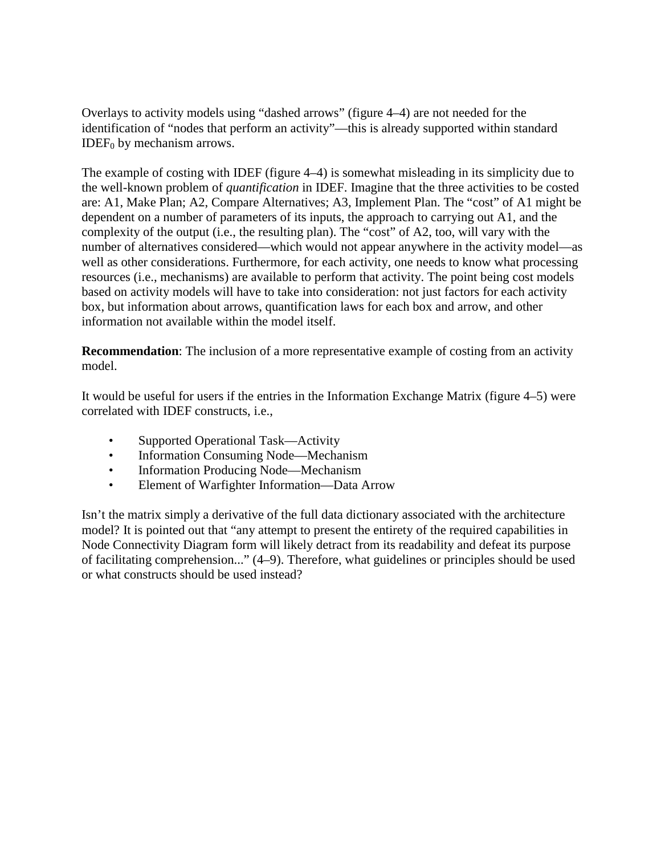Overlays to activity models using "dashed arrows" (figure 4–4) are not needed for the identification of "nodes that perform an activity"—this is already supported within standard IDEF $<sub>0</sub>$  by mechanism arrows.</sub>

The example of costing with IDEF (figure 4–4) is somewhat misleading in its simplicity due to the well-known problem of *quantification* in IDEF. Imagine that the three activities to be costed are: A1, Make Plan; A2, Compare Alternatives; A3, Implement Plan. The "cost" of A1 might be dependent on a number of parameters of its inputs, the approach to carrying out A1, and the complexity of the output (i.e., the resulting plan). The "cost" of A2, too, will vary with the number of alternatives considered—which would not appear anywhere in the activity model—as well as other considerations. Furthermore, for each activity, one needs to know what processing resources (i.e., mechanisms) are available to perform that activity. The point being cost models based on activity models will have to take into consideration: not just factors for each activity box, but information about arrows, quantification laws for each box and arrow, and other information not available within the model itself.

**Recommendation**: The inclusion of a more representative example of costing from an activity model.

It would be useful for users if the entries in the Information Exchange Matrix (figure 4–5) were correlated with IDEF constructs, i.e.,

- Supported Operational Task—Activity
- Information Consuming Node—Mechanism
- Information Producing Node—Mechanism
- Element of Warfighter Information—Data Arrow

Isn't the matrix simply a derivative of the full data dictionary associated with the architecture model? It is pointed out that "any attempt to present the entirety of the required capabilities in Node Connectivity Diagram form will likely detract from its readability and defeat its purpose of facilitating comprehension..." (4–9). Therefore, what guidelines or principles should be used or what constructs should be used instead?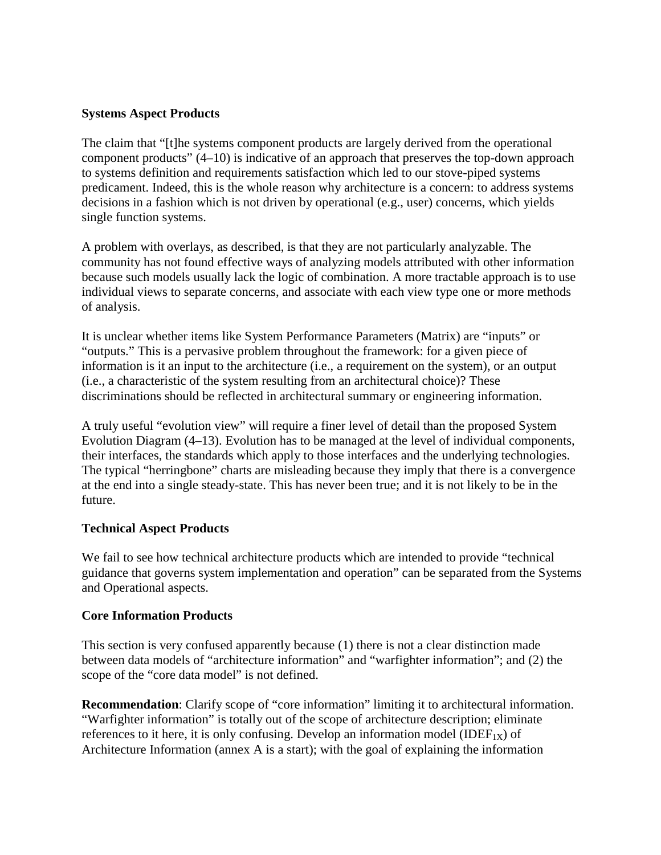#### **Systems Aspect Products**

The claim that "[t]he systems component products are largely derived from the operational component products" (4–10) is indicative of an approach that preserves the top-down approach to systems definition and requirements satisfaction which led to our stove-piped systems predicament. Indeed, this is the whole reason why architecture is a concern: to address systems decisions in a fashion which is not driven by operational (e.g., user) concerns, which yields single function systems.

A problem with overlays, as described, is that they are not particularly analyzable. The community has not found effective ways of analyzing models attributed with other information because such models usually lack the logic of combination. A more tractable approach is to use individual views to separate concerns, and associate with each view type one or more methods of analysis.

It is unclear whether items like System Performance Parameters (Matrix) are "inputs" or "outputs." This is a pervasive problem throughout the framework: for a given piece of information is it an input to the architecture (i.e., a requirement on the system), or an output (i.e., a characteristic of the system resulting from an architectural choice)? These discriminations should be reflected in architectural summary or engineering information.

A truly useful "evolution view" will require a finer level of detail than the proposed System Evolution Diagram (4–13). Evolution has to be managed at the level of individual components, their interfaces, the standards which apply to those interfaces and the underlying technologies. The typical "herringbone" charts are misleading because they imply that there is a convergence at the end into a single steady-state. This has never been true; and it is not likely to be in the future.

### **Technical Aspect Products**

We fail to see how technical architecture products which are intended to provide "technical guidance that governs system implementation and operation" can be separated from the Systems and Operational aspects.

### **Core Information Products**

This section is very confused apparently because (1) there is not a clear distinction made between data models of "architecture information" and "warfighter information"; and (2) the scope of the "core data model" is not defined.

**Recommendation**: Clarify scope of "core information" limiting it to architectural information. "Warfighter information" is totally out of the scope of architecture description; eliminate references to it here, it is only confusing. Develop an information model (IDEF<sub>1X</sub>) of Architecture Information (annex A is a start); with the goal of explaining the information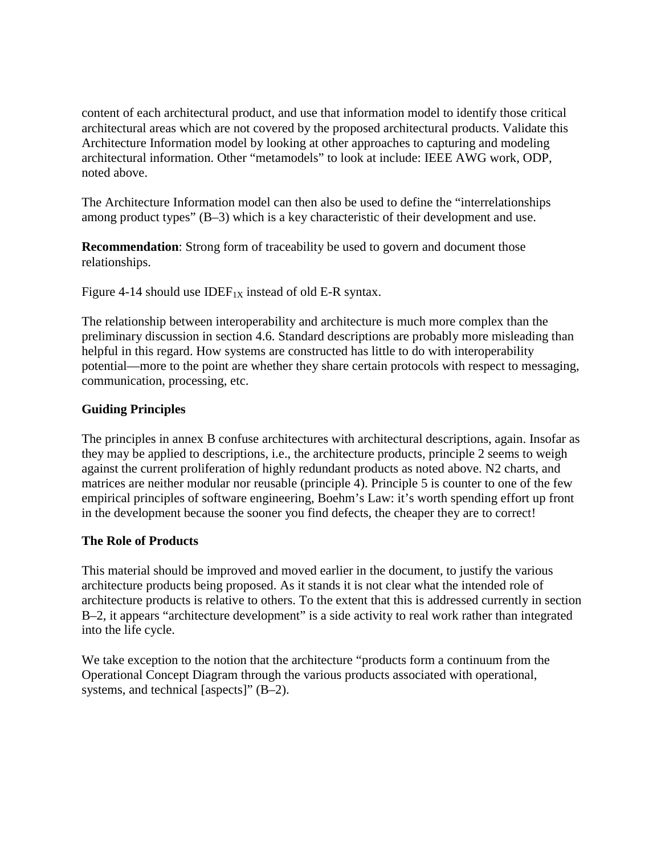content of each architectural product, and use that information model to identify those critical architectural areas which are not covered by the proposed architectural products. Validate this Architecture Information model by looking at other approaches to capturing and modeling architectural information. Other "metamodels" to look at include: IEEE AWG work, ODP, noted above.

The Architecture Information model can then also be used to define the "interrelationships among product types" (B–3) which is a key characteristic of their development and use.

**Recommendation**: Strong form of traceability be used to govern and document those relationships.

Figure 4-14 should use IDEF<sub>1X</sub> instead of old E-R syntax.

The relationship between interoperability and architecture is much more complex than the preliminary discussion in section 4.6. Standard descriptions are probably more misleading than helpful in this regard. How systems are constructed has little to do with interoperability potential—more to the point are whether they share certain protocols with respect to messaging, communication, processing, etc.

## **Guiding Principles**

The principles in annex B confuse architectures with architectural descriptions, again. Insofar as they may be applied to descriptions, i.e., the architecture products, principle 2 seems to weigh against the current proliferation of highly redundant products as noted above. N2 charts, and matrices are neither modular nor reusable (principle 4). Principle 5 is counter to one of the few empirical principles of software engineering, Boehm's Law: it's worth spending effort up front in the development because the sooner you find defects, the cheaper they are to correct!

### **The Role of Products**

This material should be improved and moved earlier in the document, to justify the various architecture products being proposed. As it stands it is not clear what the intended role of architecture products is relative to others. To the extent that this is addressed currently in section B–2, it appears "architecture development" is a side activity to real work rather than integrated into the life cycle.

We take exception to the notion that the architecture "products form a continuum from the Operational Concept Diagram through the various products associated with operational, systems, and technical [aspects]" (B–2).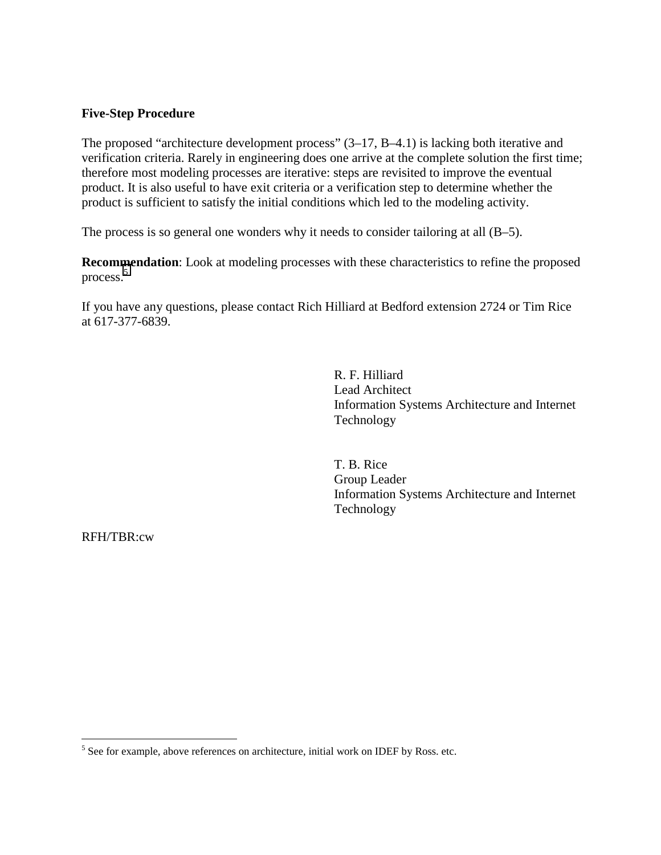#### **Five-Step Procedure**

The proposed "architecture development process" (3–17, B–4.1) is lacking both iterative and verification criteria. Rarely in engineering does one arrive at the complete solution the first time; therefore most modeling processes are iterative: steps are revisited to improve the eventual product. It is also useful to have exit criteria or a verification step to determine whether the product is sufficient to satisfy the initial conditions which led to the modeling activity.

The process is so general one wonders why it needs to consider tailoring at all (B–5).

**Recommendation**: Look at modeling processes with these characteristics to refine the proposed process.<sup>5</sup>

If you have any questions, please contact Rich Hilliard at Bedford extension 2724 or Tim Rice at 617-377-6839.

> R. F. Hilliard Lead Architect Information Systems Architecture and Internet Technology

> T. B. Rice Group Leader Information Systems Architecture and Internet Technology

RFH/TBR:cw

1

 $<sup>5</sup>$  See for example, above references on architecture, initial work on IDEF by Ross. etc.</sup>